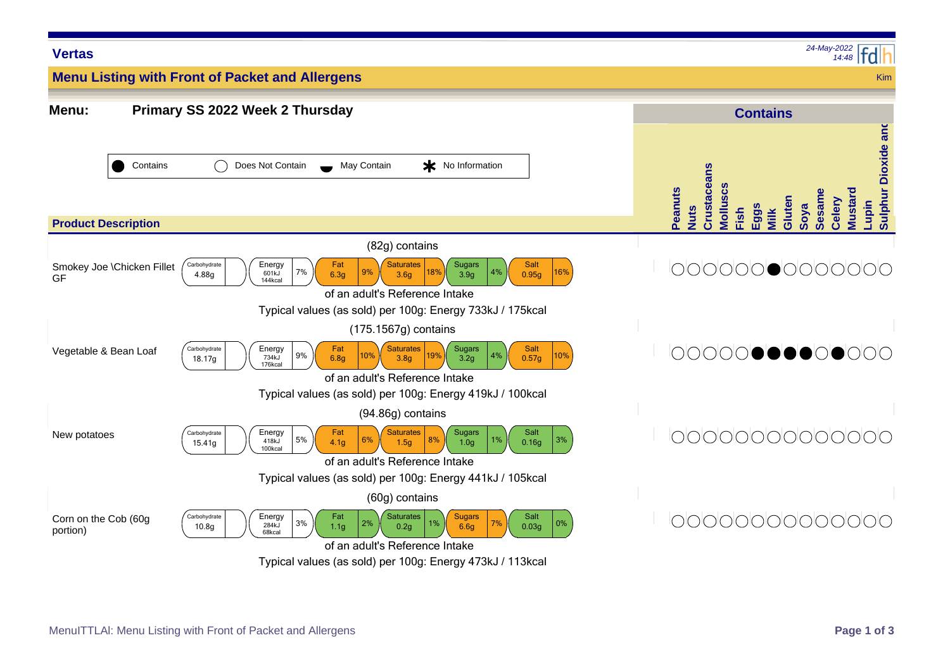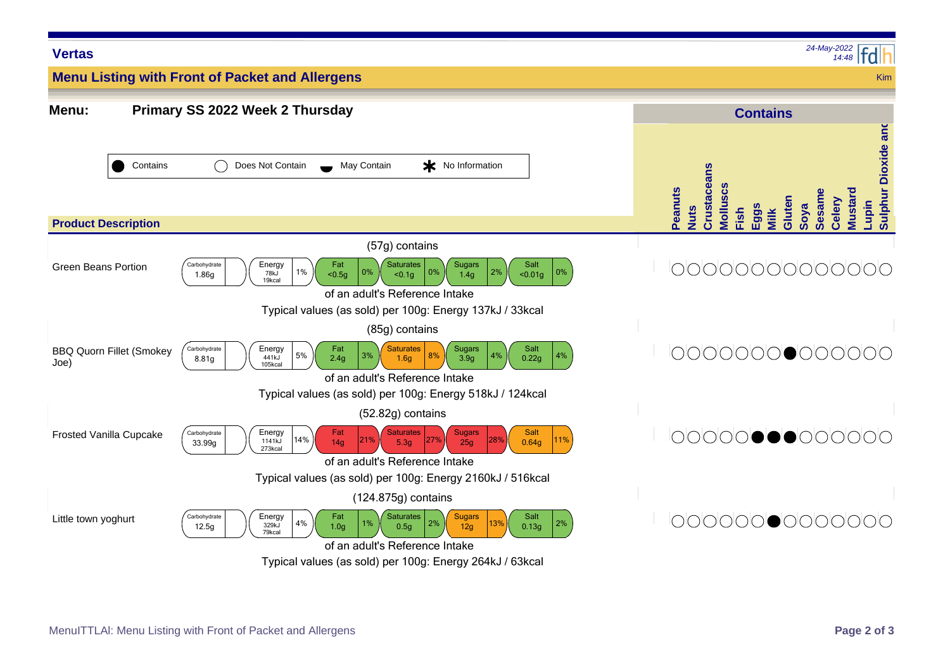